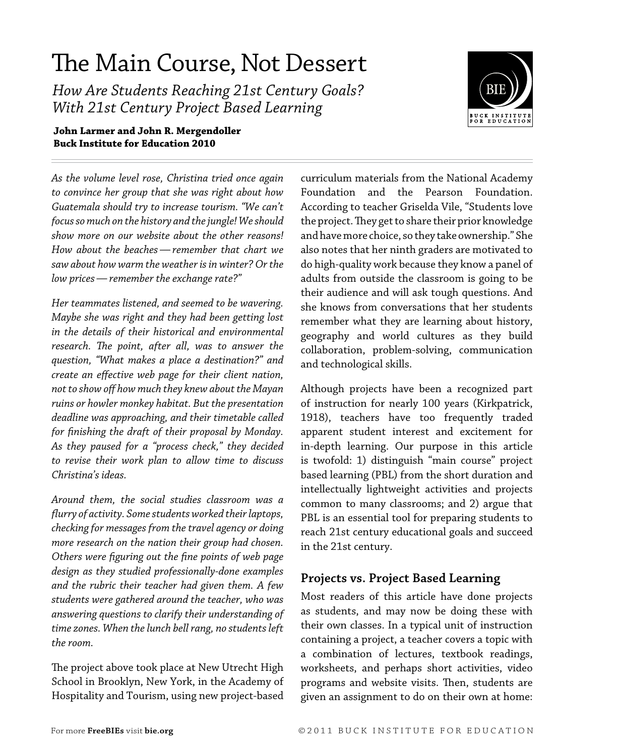# The Main Course, Not Dessert

*How Are Students Reaching 21st Century Goals? With 21st Century Project Based Learning*



#### **John Larmer and John R. Mergendoller Buck Institute for Education 2010**

*As the volume level rose, Christina tried once again to convince her group that she was right about how Guatemala should try to increase tourism. "We can't focus so much on the history and the jungle! We should show more on our website about the other reasons! How about the beaches—remember that chart we saw about how warm the weather is in winter? Or the low prices—remember the exchange rate?"* 

*Her teammates listened, and seemed to be wavering. Maybe she was right and they had been getting lost in the details of their historical and environmental research. The point, after all, was to answer the question, "What makes a place a destination?" and create an effective web page for their client nation, not to show off how much they knew about the Mayan ruins or howler monkey habitat. But the presentation deadline was approaching, and their timetable called for finishing the draft of their proposal by Monday. As they paused for a "process check," they decided to revise their work plan to allow time to discuss Christina's ideas.*

*Around them, the social studies classroom was a flurry of activity. Some students worked their laptops, checking for messages from the travel agency or doing more research on the nation their group had chosen. Others were figuring out the fine points of web page design as they studied professionally-done examples and the rubric their teacher had given them. A few students were gathered around the teacher, who was answering questions to clarify their understanding of time zones. When the lunch bell rang, no students left the room.*

The project above took place at New Utrecht High School in Brooklyn, New York, in the Academy of Hospitality and Tourism, using new project-based

curriculum materials from the National Academy Foundation and the Pearson Foundation. According to teacher Griselda Vile, "Students love the project. They get to share their prior knowledge and have more choice, so they take ownership." She also notes that her ninth graders are motivated to do high-quality work because they know a panel of adults from outside the classroom is going to be their audience and will ask tough questions. And she knows from conversations that her students remember what they are learning about history, geography and world cultures as they build collaboration, problem-solving, communication and technological skills.

Although projects have been a recognized part of instruction for nearly 100 years (Kirkpatrick, 1918), teachers have too frequently traded apparent student interest and excitement for in-depth learning. Our purpose in this article is twofold: 1) distinguish "main course" project based learning (PBL) from the short duration and intellectually lightweight activities and projects common to many classrooms; and 2) argue that PBL is an essential tool for preparing students to reach 21st century educational goals and succeed in the 21st century.

### **Projects vs. Project Based Learning**

Most readers of this article have done projects as students, and may now be doing these with their own classes. In a typical unit of instruction containing a project, a teacher covers a topic with a combination of lectures, textbook readings, worksheets, and perhaps short activities, video programs and website visits. Then, students are given an assignment to do on their own at home: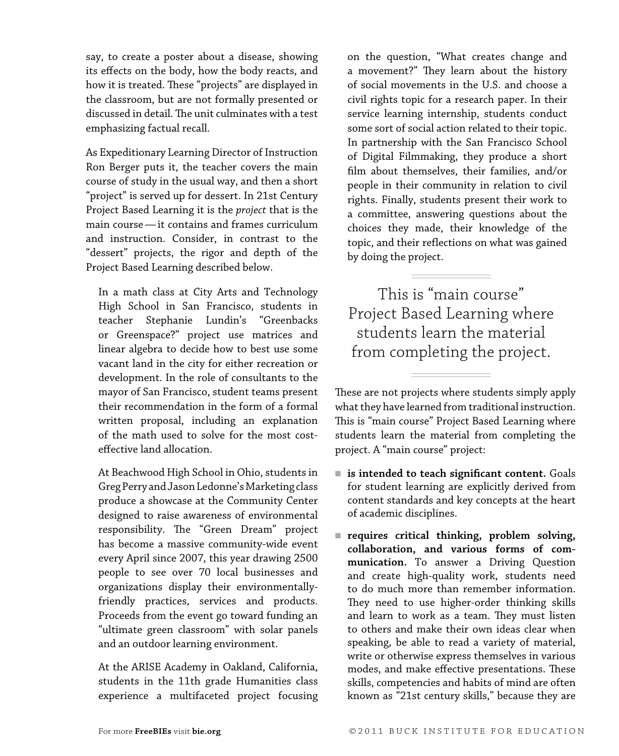say, to create a poster about a disease, showing its effects on the body, how the body reacts, and how it is treated. These "projects" are displayed in the classroom, but are not formally presented or discussed in detail. The unit culminates with a test emphasizing factual recall.

As Expeditionary Learning Director of Instruction Ron Berger puts it, the teacher covers the main course of study in the usual way, and then a short "project" is served up for dessert. In 21st Century Project Based Learning it is the *project* that is the main course—it contains and frames curriculum and instruction. Consider, in contrast to the "dessert" projects, the rigor and depth of the Project Based Learning described below.

In a math class at City Arts and Technology High School in San Francisco, students in teacher Stephanie Lundin's "Greenbacks or Greenspace?" project use matrices and linear algebra to decide how to best use some vacant land in the city for either recreation or development. In the role of consultants to the mayor of San Francisco, student teams present their recommendation in the form of a formal written proposal, including an explanation of the math used to solve for the most costeffective land allocation.

At Beachwood High School in Ohio, students in Greg Perry and Jason Ledonne's Marketing class produce a showcase at the Community Center designed to raise awareness of environmental responsibility. The "Green Dream" project has become a massive community-wide event every April since 2007, this year drawing 2500 people to see over 70 local businesses and organizations display their environmentallyfriendly practices, services and products. Proceeds from the event go toward funding an "ultimate green classroom" with solar panels and an outdoor learning environment.

At the ARISE Academy in Oakland, California, students in the 11th grade Humanities class experience a multifaceted project focusing on the question, "What creates change and a movement?" They learn about the history of social movements in the U.S. and choose a civil rights topic for a research paper. In their service learning internship, students conduct some sort of social action related to their topic. In partnership with the San Francisco School of Digital Filmmaking, they produce a short film about themselves, their families, and/or people in their community in relation to civil rights. Finally, students present their work to a committee, answering questions about the choices they made, their knowledge of the topic, and their reflections on what was gained by doing the project.

This is "main course" Project Based Learning where students learn the material from completing the project.

These are not projects where students simply apply what they have learned from traditional instruction. This is "main course" Project Based Learning where students learn the material from completing the project. A "main course" project:

- is intended to teach significant content. Goals for student learning are explicitly derived from content standards and key concepts at the heart of academic disciplines.
- requires critical thinking, problem solving, **collaboration, and various forms of communication.** To answer a Driving Question and create high-quality work, students need to do much more than remember information. They need to use higher-order thinking skills and learn to work as a team. They must listen to others and make their own ideas clear when speaking, be able to read a variety of material, write or otherwise express themselves in various modes, and make effective presentations. These skills, competencies and habits of mind are often known as "21st century skills," because they are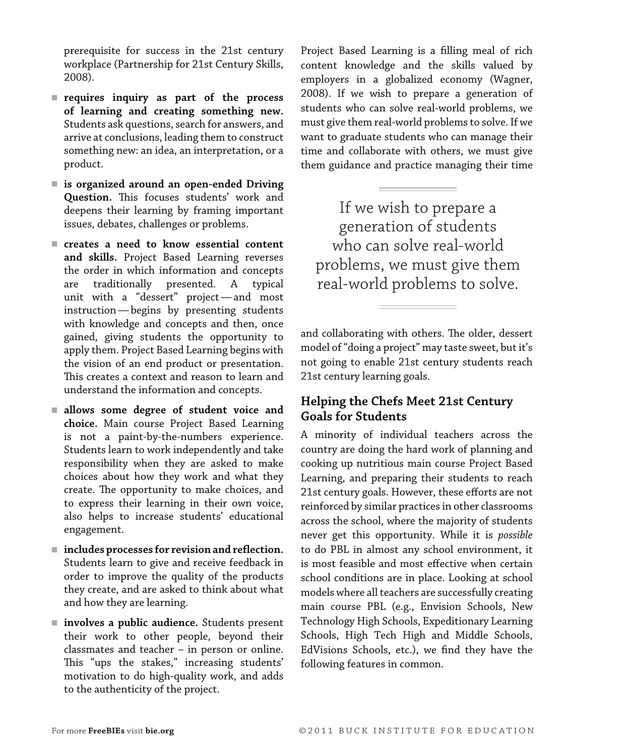prerequisite for success in the 21st century workplace (Partnership for 21st Century Skills, 2008).

- requires inquiry as part of the process **of learning and creating something new.** Students ask questions, search for answers, and arrive at conclusions, leading them to construct something new: an idea, an interpretation, or a product.
- is organized around an open-ended Driving **Question.** This focuses students' work and deepens their learning by framing important issues, debates, challenges or problems.
- creates a need to know essential content **and skills.** Project Based Learning reverses the order in which information and concepts are traditionally presented. A typical unit with a "dessert" project—and most instruction—begins by presenting students with knowledge and concepts and then, once gained, giving students the opportunity to apply them. Project Based Learning begins with the vision of an end product or presentation. This creates a context and reason to learn and understand the information and concepts.
- <sup>n</sup> **allows some degree of student voice and choice.** Main course Project Based Learning is not a paint-by-the-numbers experience. Students learn to work independently and take responsibility when they are asked to make choices about how they work and what they create. The opportunity to make choices, and to express their learning in their own voice, also helps to increase students' educational engagement.
- includes processes for revision and reflection. Students learn to give and receive feedback in order to improve the quality of the products they create, and are asked to think about what and how they are learning.
- **involves a public audience.** Students present their work to other people, beyond their classmates and teacher – in person or online. This "ups the stakes," increasing students' motivation to do high-quality work, and adds to the authenticity of the project.

Project Based Learning is a filling meal of rich content knowledge and the skills valued by employers in a globalized economy (Wagner, 2008). If we wish to prepare a generation of students who can solve real-world problems, we must give them real-world problems to solve. If we want to graduate students who can manage their time and collaborate with others, we must give them guidance and practice managing their time

If we wish to prepare a generation of students who can solve real-world problems, we must give them real-world problems to solve.

and collaborating with others. The older, dessert model of "doing a project" may taste sweet, but it's not going to enable 21st century students reach 21st century learning goals.

## **Helping the Chefs Meet 21st Century Goals for Students**

A minority of individual teachers across the country are doing the hard work of planning and cooking up nutritious main course Project Based Learning, and preparing their students to reach 21st century goals. However, these efforts are not reinforced by similar practices in other classrooms across the school, where the majority of students never get this opportunity. While it is *possible* to do PBL in almost any school environment, it is most feasible and most effective when certain school conditions are in place. Looking at school models where all teachers are successfully creating main course PBL (e.g., Envision Schools, New Technology High Schools, Expeditionary Learning Schools, High Tech High and Middle Schools, EdVisions Schools, etc.), we find they have the following features in common.